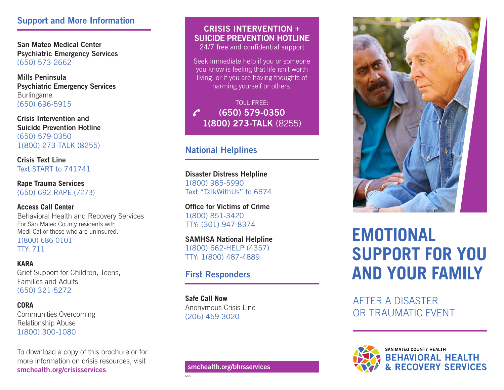#### Support and More Information

San Mateo Medical Center Psychiatric Emergency Services (650) 573-2662

Mills Peninsula Psychiatric Emergency Services Burlingame (650) 696-5915

Crisis Intervention and Suicide Prevention Hotline (650) 579-0350 1(800) 273-TALK (8255)

Crisis Text Line Text START to 741741

**Rape Trauma Services** (650) 692-RAPE (7273)

**Access Call Center** Behavioral Health and Recovery Services For San Mateo County residents with Medi-Cal or those who are uninsured. 1(800) 686-0101

TTY: 711

**KARA** Grief Support for Children, Teens, Families and Adults (650) 321-5272

**CORA** Communities Overcoming Relationship Abuse 1(800) 300-1080

To download a copy of this brochure or for more information on crisis resources, visit smchealth.org/crisisservices.

### CRISIS INTERVENTION + SUICIDE PREVENTION HOTLINE

24/7 free and confidential support

Seek immediate help if you or someone you know is feeling that life isn't worth living, or if you are having thoughts of harming yourself or others.

TOLL FREE: (650) 579-0350 1(800) 273-TALK (8255)

### National Helplines

Disaster Distress Helpline 1(800) 985-5990 Text "TalkWithUs" to 6674

Office for Victims of Crime 1(800) 851-3420 TTY: (301) 947-8374

SAMHSA National Helpline 1(800) 662-HELP (4357) TTY: 1(800) 487-4889

### First Responders

**Safe Call Now** Anonymous Crisis Line (206) 459-3020

6/22



## **EMOTIONAL SUPPORT FOR YOU AND YOUR FAMILY**

AFTER A DISASTER OR TRAUMATIC EVENT